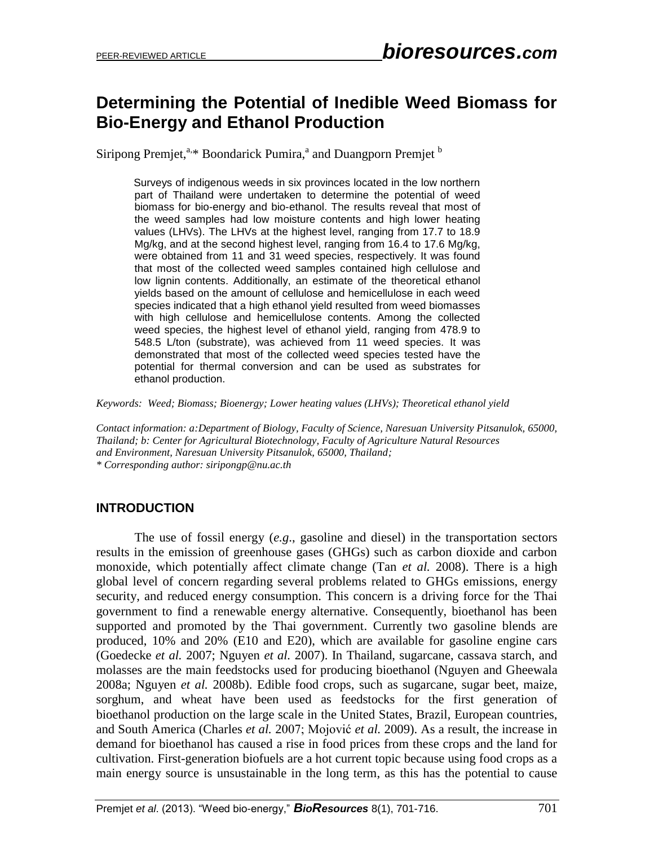# **Determining the Potential of Inedible Weed Biomass for Bio-Energy and Ethanol Production**

Siripong Premjet,<sup>a,\*</sup> Boondarick Pumira,<sup>a</sup> and Duangporn Premjet <sup>b</sup>

Surveys of indigenous weeds in six provinces located in the low northern part of Thailand were undertaken to determine the potential of weed biomass for bio-energy and bio-ethanol. The results reveal that most of the weed samples had low moisture contents and high lower heating values (LHVs). The LHVs at the highest level, ranging from 17.7 to 18.9 Mg/kg, and at the second highest level, ranging from 16.4 to 17.6 Mg/kg, were obtained from 11 and 31 weed species, respectively. It was found that most of the collected weed samples contained high cellulose and low lignin contents. Additionally, an estimate of the theoretical ethanol yields based on the amount of cellulose and hemicellulose in each weed species indicated that a high ethanol yield resulted from weed biomasses with high cellulose and hemicellulose contents. Among the collected weed species, the highest level of ethanol yield, ranging from 478.9 to 548.5 L/ton (substrate), was achieved from 11 weed species. It was demonstrated that most of the collected weed species tested have the potential for thermal conversion and can be used as substrates for ethanol production.

*Keywords: Weed; Biomass; Bioenergy; Lower heating values (LHVs); Theoretical ethanol yield*

*Contact information: a:Department of Biology, Faculty of Science, Naresuan University Pitsanulok, 65000, Thailand; b: Center for Agricultural Biotechnology, Faculty of Agriculture Natural Resources and Environment, Naresuan University Pitsanulok, 65000, Thailand; \* Corresponding author: siripongp@nu.ac.th*

# **INTRODUCTION**

The use of fossil energy (*e.g*., gasoline and diesel) in the transportation sectors results in the emission of greenhouse gases (GHGs) such as carbon dioxide and carbon monoxide, which potentially affect climate change (Tan *et al.* 2008). There is a high global level of concern regarding several problems related to GHGs emissions, energy security, and reduced energy consumption. This concern is a driving force for the Thai government to find a renewable energy alternative. Consequently, bioethanol has been supported and promoted by the Thai government. Currently two gasoline blends are produced, 10% and 20% (E10 and E20), which are available for gasoline engine cars (Goedecke *et al.* 2007; Nguyen *et al.* 2007). In Thailand, sugarcane, cassava starch, and molasses are the main feedstocks used for producing bioethanol (Nguyen and Gheewala 2008a; Nguyen *et al.* 2008b). Edible food crops, such as sugarcane, sugar beet, maize, sorghum, and wheat have been used as feedstocks for the first generation of bioethanol production on the large scale in the United States, Brazil, European countries, and South America (Charles *et al.* 2007; Mojović *et al.* 2009). As a result, the increase in demand for bioethanol has caused a rise in food prices from these crops and the land for cultivation. First-generation biofuels are a hot current topic because using food crops as a main energy source is unsustainable in the long term, as this has the potential to cause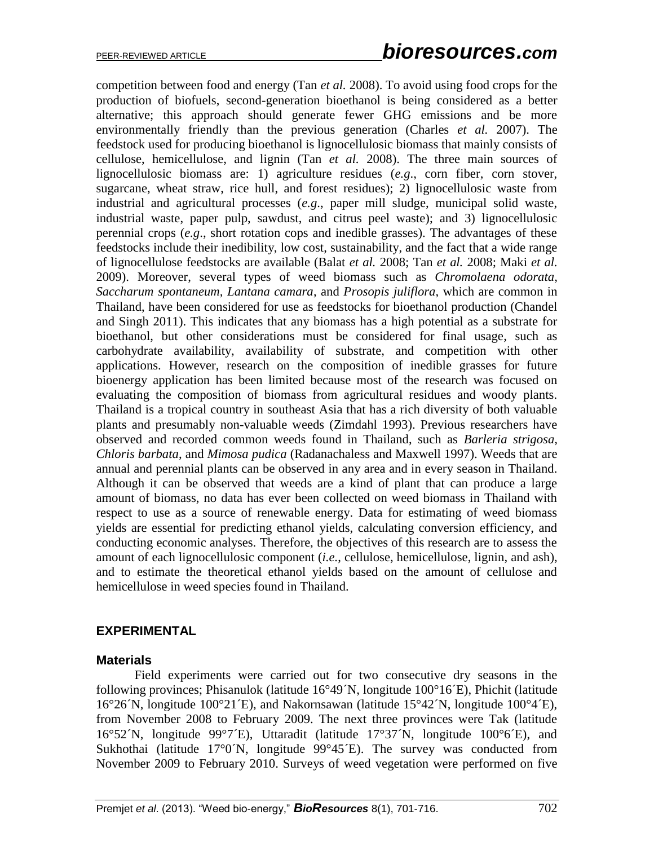competition between food and energy (Tan *et al.* 2008). To avoid using food crops for the production of biofuels, second-generation bioethanol is being considered as a better alternative; this approach should generate fewer GHG emissions and be more environmentally friendly than the previous generation (Charles *et al.* 2007). The feedstock used for producing bioethanol is lignocellulosic biomass that mainly consists of cellulose, hemicellulose, and lignin (Tan *et al.* 2008). The three main sources of lignocellulosic biomass are: 1) agriculture residues (*e.g*., corn fiber, corn stover, sugarcane, wheat straw, rice hull, and forest residues); 2) lignocellulosic waste from industrial and agricultural processes (*e.g*., paper mill sludge, municipal solid waste, industrial waste, paper pulp, sawdust, and citrus peel waste); and 3) lignocellulosic perennial crops (*e.g*., short rotation cops and inedible grasses). The advantages of these feedstocks include their inedibility, low cost, sustainability, and the fact that a wide range of lignocellulose feedstocks are available (Balat *et al.* 2008; Tan *et al.* 2008; Maki *et al.* 2009). Moreover, several types of weed biomass such as *Chromolaena odorata*, *Saccharum spontaneum, Lantana camara*, and *Prosopis juliflora*, which are common in Thailand, have been considered for use as feedstocks for bioethanol production (Chandel and Singh 2011). This indicates that any biomass has a high potential as a substrate for bioethanol, but other considerations must be considered for final usage, such as carbohydrate availability, availability of substrate, and competition with other applications. However, research on the composition of inedible grasses for future bioenergy application has been limited because most of the research was focused on evaluating the composition of biomass from agricultural residues and woody plants. Thailand is a tropical country in southeast Asia that has a rich diversity of both valuable plants and presumably non-valuable weeds (Zimdahl 1993). Previous researchers have observed and recorded common weeds found in Thailand, such as *Barleria strigosa, Chloris barbata*, and *Mimosa pudica* (Radanachaless and Maxwell 1997). Weeds that are annual and perennial plants can be observed in any area and in every season in Thailand. Although it can be observed that weeds are a kind of plant that can produce a large amount of biomass, no data has ever been collected on weed biomass in Thailand with respect to use as a source of renewable energy. Data for estimating of weed biomass yields are essential for predicting ethanol yields, calculating conversion efficiency, and conducting economic analyses. Therefore, the objectives of this research are to assess the amount of each lignocellulosic component (*i.e.*, cellulose, hemicellulose, lignin, and ash), and to estimate the theoretical ethanol yields based on the amount of cellulose and hemicellulose in weed species found in Thailand.

#### **EXPERIMENTAL**

#### **Materials**

Field experiments were carried out for two consecutive dry seasons in the following provinces; Phisanulok (latitude 16°49´N, longitude 100°16´E), Phichit (latitude 16°26´N, longitude 100°21´E), and Nakornsawan (latitude 15°42´N, longitude 100°4´E), from November 2008 to February 2009. The next three provinces were Tak (latitude 16°52´N, longitude 99°7´E), Uttaradit (latitude 17°37´N, longitude 100°6´E), and Sukhothai (latitude  $17^{\circ}0^{\prime}$ N, longitude  $99^{\circ}45^{\prime}$ E). The survey was conducted from November 2009 to February 2010. Surveys of weed vegetation were performed on five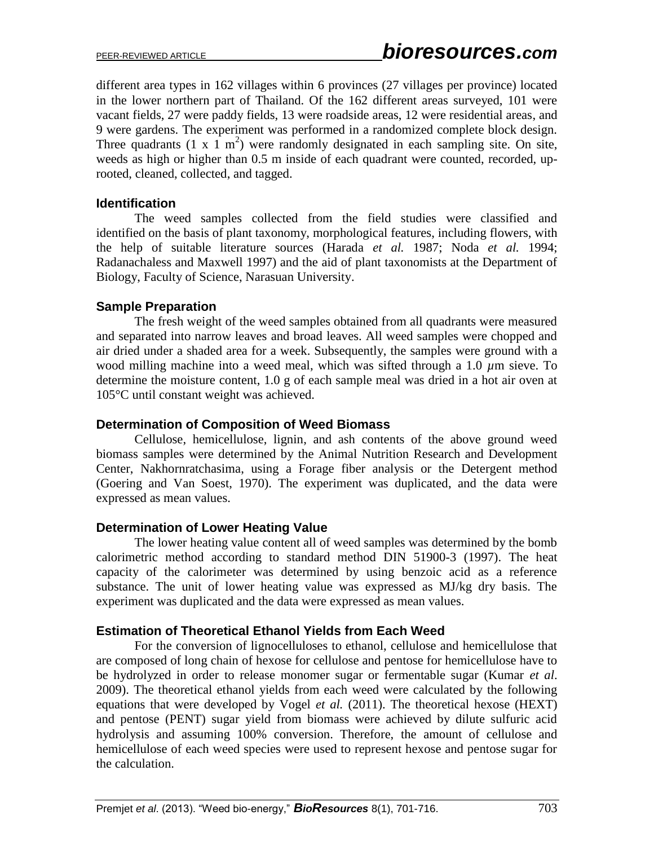different area types in 162 villages within 6 provinces (27 villages per province) located in the lower northern part of Thailand. Of the 162 different areas surveyed, 101 were vacant fields, 27 were paddy fields, 13 were roadside areas, 12 were residential areas, and 9 were gardens. The experiment was performed in a randomized complete block design. Three quadrants  $(1 \times 1 \text{ m}^2)$  were randomly designated in each sampling site. On site, weeds as high or higher than 0.5 m inside of each quadrant were counted, recorded, uprooted, cleaned, collected, and tagged.

#### **Identification**

The weed samples collected from the field studies were classified and identified on the basis of plant taxonomy, morphological features, including flowers, with the help of suitable literature sources (Harada *et al.* 1987; Noda *et al.* 1994; Radanachaless and Maxwell 1997) and the aid of plant taxonomists at the Department of Biology, Faculty of Science, Narasuan University.

#### **Sample Preparation**

The fresh weight of the weed samples obtained from all quadrants were measured and separated into narrow leaves and broad leaves. All weed samples were chopped and air dried under a shaded area for a week. Subsequently, the samples were ground with a wood milling machine into a weed meal, which was sifted through a 1.0 *µ*m sieve. To determine the moisture content, 1.0 g of each sample meal was dried in a hot air oven at 105°C until constant weight was achieved.

#### **Determination of Composition of Weed Biomass**

Cellulose, hemicellulose, lignin, and ash contents of the above ground weed biomass samples were determined by the Animal Nutrition Research and Development Center, Nakhornratchasima, using a Forage fiber analysis or the Detergent method (Goering and Van Soest, 1970). The experiment was duplicated, and the data were expressed as mean values.

#### **Determination of Lower Heating Value**

The lower heating value content all of weed samples was determined by the bomb calorimetric method according to standard method DIN 51900-3 (1997). The heat capacity of the calorimeter was determined by using benzoic acid as a reference substance. The unit of lower heating value was expressed as MJ/kg dry basis. The experiment was duplicated and the data were expressed as mean values.

#### **Estimation of Theoretical Ethanol Yields from Each Weed**

For the conversion of lignocelluloses to ethanol, cellulose and hemicellulose that are composed of long chain of hexose for cellulose and pentose for hemicellulose have to be hydrolyzed in order to release monomer sugar or fermentable sugar (Kumar *et al*. 2009). The theoretical ethanol yields from each weed were calculated by the following equations that were developed by Vogel *et al.* (2011). The theoretical hexose (HEXT) and pentose (PENT) sugar yield from biomass were achieved by dilute sulfuric acid hydrolysis and assuming 100% conversion. Therefore, the amount of cellulose and hemicellulose of each weed species were used to represent hexose and pentose sugar for the calculation.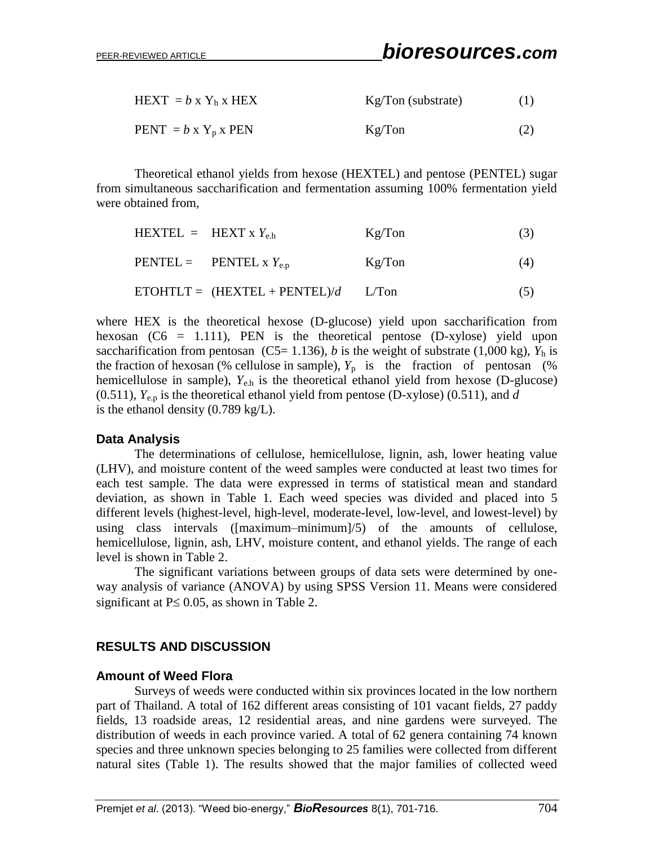| HEXT = $b \times Y_h \times$ HEX | $Kg/Ton$ (substrate) | (1) |
|----------------------------------|----------------------|-----|
| $PENT = b \times Y_p \times PEN$ | Kg/Ton               | (2) |

Theoretical ethanol yields from hexose (HEXTEL) and pentose (PENTEL) sugar from simultaneous saccharification and fermentation assuming 100% fermentation yield were obtained from,

| HEXTEL = HEXT x $Y_{eh}$ |                                                | Kg/Ton | (3) |
|--------------------------|------------------------------------------------|--------|-----|
|                          | $\text{PENTEL} = \text{PENTEL} \times Y_{e.p}$ | Kg/Ton | (4) |
|                          | $ETOHTLT = (HEXTEL + PENTEL)/d$                | L/Ton  | (5) |

where HEX is the theoretical hexose (D-glucose) yield upon saccharification from hexosan  $(C6 = 1.111)$ , PEN is the theoretical pentose  $(D\text{-}xy\text{lose})$  yield upon saccharification from pentosan (C5= 1.136), *b* is the weight of substrate (1,000 kg),  $Y_h$  is the fraction of hexosan (% cellulose in sample),  $Y_p$  is the fraction of pentosan (% hemicellulose in sample),  $Y_{e,h}$  is the theoretical ethanol yield from hexose (D-glucose)  $(0.511)$ ,  $Y_{e,n}$  is the theoretical ethanol yield from pentose (D-xylose)  $(0.511)$ , and *d* is the ethanol density (0.789 kg/L).

#### **Data Analysis**

The determinations of cellulose, hemicellulose, lignin, ash, lower heating value (LHV), and moisture content of the weed samples were conducted at least two times for each test sample. The data were expressed in terms of statistical mean and standard deviation, as shown in Table 1. Each weed species was divided and placed into 5 different levels (highest-level, high-level, moderate-level, low-level, and lowest-level) by using class intervals ([maximum–minimum]/5) of the amounts of cellulose, hemicellulose, lignin, ash, LHV, moisture content, and ethanol yields. The range of each level is shown in Table 2.

The significant variations between groups of data sets were determined by oneway analysis of variance (ANOVA) by using SPSS Version 11. Means were considered significant at  $P \le 0.05$ , as shown in Table 2.

# **RESULTS AND DISCUSSION**

#### **Amount of Weed Flora**

Surveys of weeds were conducted within six provinces located in the low northern part of Thailand. A total of 162 different areas consisting of 101 vacant fields, 27 paddy fields, 13 roadside areas, 12 residential areas, and nine gardens were surveyed. The distribution of weeds in each province varied. A total of 62 genera containing 74 known species and three unknown species belonging to 25 families were collected from different natural sites (Table 1). The results showed that the major families of collected weed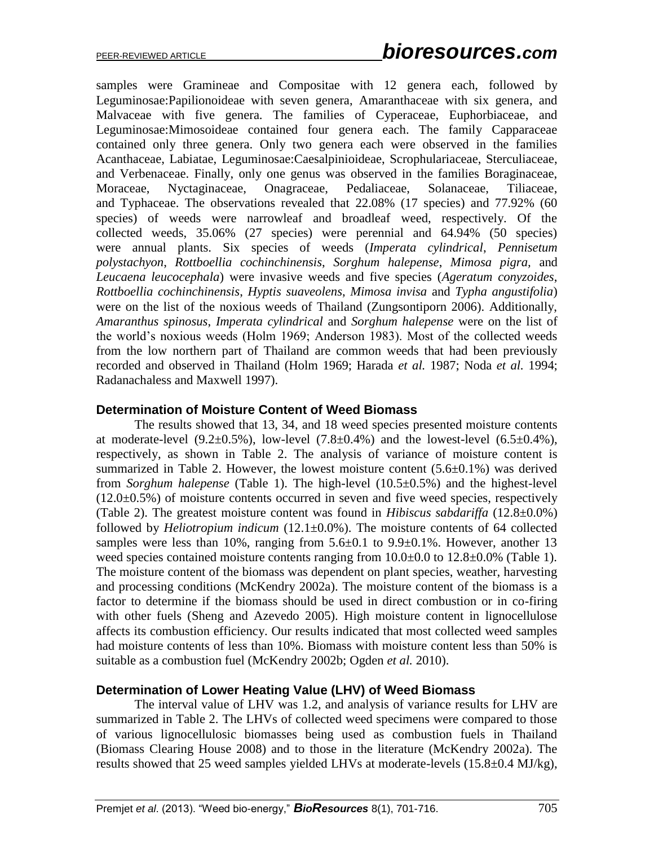samples were Gramineae and Compositae with 12 genera each, followed by Leguminosae:Papilionoideae with seven genera, Amaranthaceae with six genera, and Malvaceae with five genera. The families of Cyperaceae, Euphorbiaceae, and Leguminosae:Mimosoideae contained four genera each. The family Capparaceae contained only three genera. Only two genera each were observed in the families Acanthaceae, Labiatae, Leguminosae:Caesalpinioideae, Scrophulariaceae, Sterculiaceae, and Verbenaceae. Finally, only one genus was observed in the families Boraginaceae, Moraceae, Nyctaginaceae, Onagraceae, Pedaliaceae, Solanaceae, Tiliaceae, and Typhaceae. The observations revealed that 22.08% (17 species) and 77.92% (60 species) of weeds were narrowleaf and broadleaf weed, respectively. Of the collected weeds, 35.06% (27 species) were perennial and 64.94% (50 species) were annual plants. Six species of weeds (*Imperata cylindrical*, *Pennisetum polystachyon*, *Rottboellia cochinchinensis*, *Sorghum halepense*, *Mimosa pigra,* and *Leucaena leucocephala*) were invasive weeds and five species (*Ageratum conyzoides*, *Rottboellia cochinchinensis*, *Hyptis suaveolens*, *Mimosa invisa* and *Typha angustifolia*) were on the list of the noxious weeds of Thailand (Zungsontiporn 2006). Additionally, *Amaranthus spinosus*, *Imperata cylindrical* and *Sorghum halepense* were on the list of the world's noxious weeds (Holm 1969; Anderson 1983). Most of the collected weeds from the low northern part of Thailand are common weeds that had been previously recorded and observed in Thailand (Holm 1969; Harada *et al.* 1987; Noda *et al.* 1994; Radanachaless and Maxwell 1997).

#### **Determination of Moisture Content of Weed Biomass**

The results showed that 13, 34, and 18 weed species presented moisture contents at moderate-level  $(9.2\pm 0.5\%)$ , low-level  $(7.8\pm 0.4\%)$  and the lowest-level  $(6.5\pm 0.4\%)$ , respectively, as shown in Table 2. The analysis of variance of moisture content is summarized in Table 2. However, the lowest moisture content (5.6±0.1%) was derived from *Sorghum halepense* (Table 1). The high-level (10.5±0.5%) and the highest-level  $(12.0\pm0.5\%)$  of moisture contents occurred in seven and five weed species, respectively (Table 2). The greatest moisture content was found in *Hibiscus sabdariffa* (12.8±0.0%) followed by *Heliotropium indicum* (12.1±0.0%). The moisture contents of 64 collected samples were less than 10%, ranging from  $5.6\pm0.1$  to  $9.9\pm0.1$ %. However, another 13 weed species contained moisture contents ranging from  $10.0\pm 0.0$  to  $12.8\pm 0.0$ % (Table 1). The moisture content of the biomass was dependent on plant species, weather, harvesting and processing conditions (McKendry 2002a). The moisture content of the biomass is a factor to determine if the biomass should be used in direct combustion or in co-firing with other fuels (Sheng and Azevedo 2005). High moisture content in lignocellulose affects its combustion efficiency. Our results indicated that most collected weed samples had moisture contents of less than 10%. Biomass with moisture content less than 50% is suitable as a combustion fuel (McKendry 2002b; Ogden *et al.* 2010).

#### **Determination of Lower Heating Value (LHV) of Weed Biomass**

The interval value of LHV was 1.2, and analysis of variance results for LHV are summarized in Table 2. The LHVs of collected weed specimens were compared to those of various lignocellulosic biomasses being used as combustion fuels in Thailand (Biomass Clearing House 2008) and to those in the literature (McKendry 2002a). The results showed that 25 weed samples yielded LHVs at moderate-levels (15.8±0.4 MJ/kg),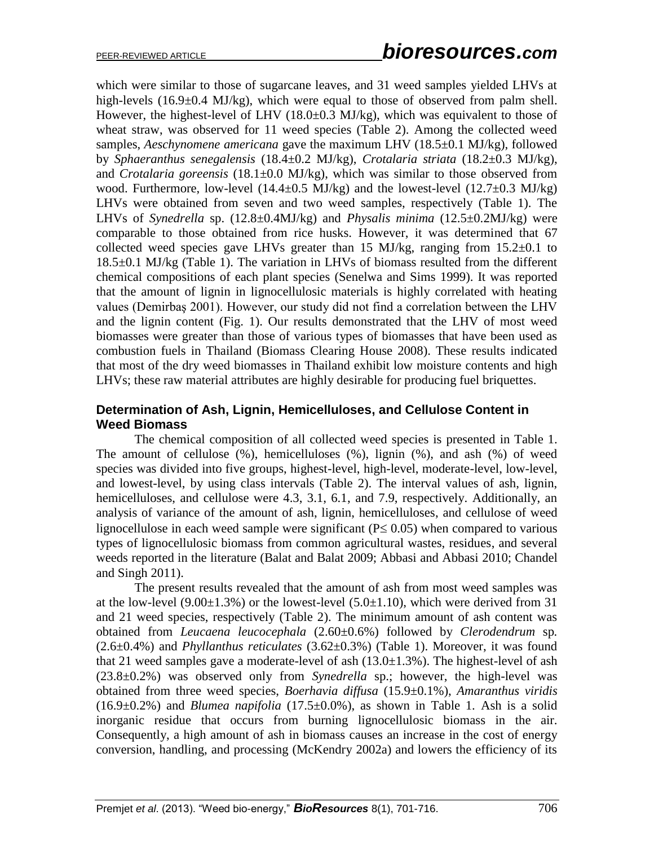which were similar to those of sugarcane leaves, and 31 weed samples yielded LHVs at high-levels (16.9±0.4 MJ/kg), which were equal to those of observed from palm shell. However, the highest-level of LHV  $(18.0\pm0.3 \text{ MJ/kg})$ , which was equivalent to those of wheat straw, was observed for 11 weed species (Table 2). Among the collected weed samples, *Aeschynomene americana* gave the maximum LHV (18.5±0.1 MJ/kg), followed by *Sphaeranthus senegalensis* (18.4±0.2 MJ/kg), *Crotalaria striata* (18.2±0.3 MJ/kg), and *Crotalaria goreensis* (18.1±0.0 MJ/kg), which was similar to those observed from wood. Furthermore, low-level (14.4±0.5 MJ/kg) and the lowest-level (12.7±0.3 MJ/kg) LHVs were obtained from seven and two weed samples, respectively (Table 1). The LHVs of *Synedrella* sp. (12.8±0.4MJ/kg) and *Physalis minima* (12.5±0.2MJ/kg) were comparable to those obtained from rice husks. However, it was determined that 67 collected weed species gave LHVs greater than 15 MJ/kg, ranging from  $15.2\pm0.1$  to 18.5±0.1 MJ/kg (Table 1). The variation in LHVs of biomass resulted from the different chemical compositions of each plant species (Senelwa and Sims 1999). It was reported that the amount of lignin in lignocellulosic materials is highly correlated with heating values (Demirbaş 2001). However, our study did not find a correlation between the LHV and the lignin content (Fig. 1). Our results demonstrated that the LHV of most weed biomasses were greater than those of various types of biomasses that have been used as combustion fuels in Thailand (Biomass Clearing House 2008). These results indicated that most of the dry weed biomasses in Thailand exhibit low moisture contents and high LHVs; these raw material attributes are highly desirable for producing fuel briquettes.

## **Determination of Ash, Lignin, Hemicelluloses, and Cellulose Content in Weed Biomass**

The chemical composition of all collected weed species is presented in Table 1. The amount of cellulose (%), hemicelluloses (%), lignin (%), and ash (%) of weed species was divided into five groups, highest-level, high-level, moderate-level, low-level, and lowest-level, by using class intervals (Table 2). The interval values of ash, lignin, hemicelluloses, and cellulose were 4.3, 3.1, 6.1, and 7.9, respectively. Additionally, an analysis of variance of the amount of ash, lignin, hemicelluloses, and cellulose of weed lignocellulose in each weed sample were significant ( $P \le 0.05$ ) when compared to various types of lignocellulosic biomass from common agricultural wastes, residues, and several weeds reported in the literature (Balat and Balat 2009; Abbasi and Abbasi 2010; Chandel and Singh 2011).

The present results revealed that the amount of ash from most weed samples was at the low-level  $(9.00\pm1.3\%)$  or the lowest-level  $(5.0\pm1.10)$ , which were derived from 31 and 21 weed species, respectively (Table 2). The minimum amount of ash content was obtained from *Leucaena leucocephala* (2.60±0.6%) followed by *Clerodendrum* sp*.*  (2.6±0.4%) and *Phyllanthus reticulates* (3.62±0.3%) (Table 1). Moreover, it was found that 21 weed samples gave a moderate-level of ash  $(13.0\pm1.3\%)$ . The highest-level of ash (23.8±0.2%) was observed only from *Synedrella* sp.; however, the high-level was obtained from three weed species, *Boerhavia diffusa* (15.9±0.1%), *Amaranthus viridis*   $(16.9\pm0.2\%)$  and *Blumea napifolia*  $(17.5\pm0.0\%)$ , as shown in Table 1. Ash is a solid inorganic residue that occurs from burning lignocellulosic biomass in the air. Consequently, a high amount of ash in biomass causes an increase in the cost of energy conversion, handling, and processing (McKendry 2002a) and lowers the efficiency of its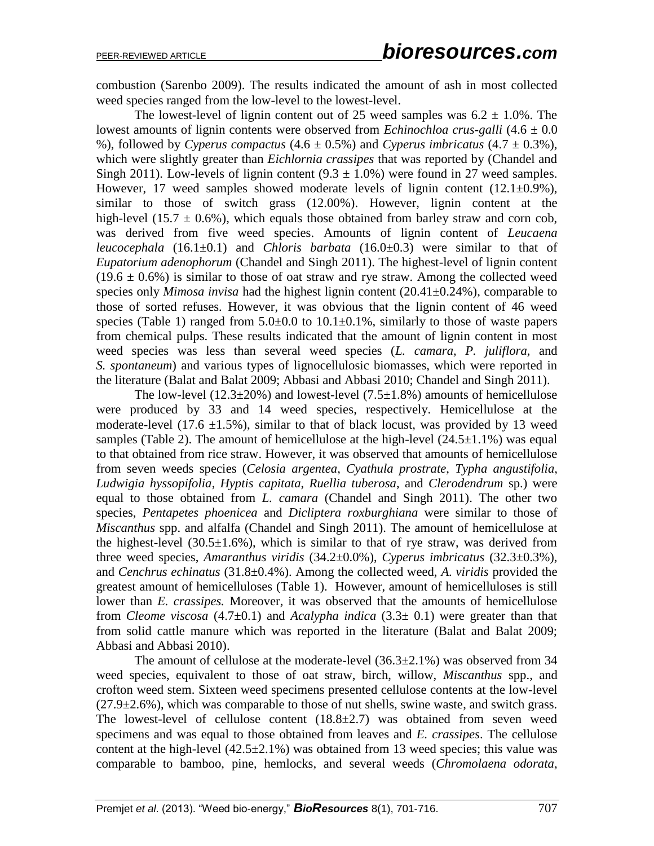combustion (Sarenbo 2009). The results indicated the amount of ash in most collected weed species ranged from the low-level to the lowest-level.

The lowest-level of lignin content out of 25 weed samples was  $6.2 \pm 1.0\%$ . The lowest amounts of lignin contents were observed from *Echinochloa crus-galli* (4.6 ± 0.0 %), followed by *Cyperus compactus*  $(4.6 \pm 0.5\%)$  and *Cyperus imbricatus*  $(4.7 \pm 0.3\%)$ , which were slightly greater than *Eichlornia crassipes* that was reported by (Chandel and Singh 2011). Low-levels of lignin content  $(9.3 \pm 1.0\%)$  were found in 27 weed samples. However, 17 weed samples showed moderate levels of lignin content  $(12.1\pm0.9\%)$ , similar to those of switch grass (12.00%). However, lignin content at the high-level (15.7  $\pm$  0.6%), which equals those obtained from barley straw and corn cob, was derived from five weed species. Amounts of lignin content of *Leucaena leucocephala* (16.1±0.1) and *Chloris barbata* (16.0±0.3) were similar to that of *Eupatorium adenophorum* (Chandel and Singh 2011). The highest-level of lignin content  $(19.6 \pm 0.6\%)$  is similar to those of oat straw and rye straw. Among the collected weed species only *Mimosa invisa* had the highest lignin content (20.41±0.24%), comparable to those of sorted refuses. However, it was obvious that the lignin content of 46 weed species (Table 1) ranged from  $5.0\pm0.0$  to  $10.1\pm0.1\%$ , similarly to those of waste papers from chemical pulps. These results indicated that the amount of lignin content in most weed species was less than several weed species (*L. camara, P. juliflora,* and *S. spontaneum*) and various types of lignocellulosic biomasses, which were reported in the literature (Balat and Balat 2009; Abbasi and Abbasi 2010; Chandel and Singh 2011).

The low-level (12.3 $\pm$ 20%) and lowest-level (7.5 $\pm$ 1.8%) amounts of hemicellulose were produced by 33 and 14 weed species, respectively. Hemicellulose at the moderate-level (17.6  $\pm$ 1.5%), similar to that of black locust, was provided by 13 weed samples (Table 2). The amount of hemicellulose at the high-level  $(24.5\pm1.1\%)$  was equal to that obtained from rice straw. However, it was observed that amounts of hemicellulose from seven weeds species (*Celosia argentea*, *Cyathula prostrate*, *Typha angustifolia*, *Ludwigia hyssopifolia*, *Hyptis capitata*, *Ruellia tuberosa*, and *Clerodendrum* sp.) were equal to those obtained from *L. camara* (Chandel and Singh 2011). The other two species, *Pentapetes phoenicea* and *Dicliptera roxburghiana* were similar to those of *Miscanthus* spp. and alfalfa (Chandel and Singh 2011). The amount of hemicellulose at the highest-level  $(30.5\pm1.6\%)$ , which is similar to that of rye straw, was derived from three weed species, *Amaranthus viridis* (34.2±0.0%), *Cyperus imbricatus* (32.3±0.3%), and *Cenchrus echinatus* (31.8±0.4%). Among the collected weed, *A. viridis* provided the greatest amount of hemicelluloses (Table 1). However, amount of hemicelluloses is still lower than *E. crassipes.* Moreover, it was observed that the amounts of hemicellulose from *Cleome viscosa* (4.7±0.1) and *Acalypha indica* (3.3± 0.1) were greater than that from solid cattle manure which was reported in the literature (Balat and Balat 2009; Abbasi and Abbasi 2010).

The amount of cellulose at the moderate-level  $(36.3\pm 2.1\%)$  was observed from 34 weed species, equivalent to those of oat straw, birch, willow, *Miscanthus* spp., and crofton weed stem. Sixteen weed specimens presented cellulose contents at the low-level  $(27.9\pm 2.6\%)$ , which was comparable to those of nut shells, swine waste, and switch grass. The lowest-level of cellulose content  $(18.8\pm 2.7)$  was obtained from seven weed specimens and was equal to those obtained from leaves and *E. crassipes*. The cellulose content at the high-level  $(42.5\pm 2.1\%)$  was obtained from 13 weed species; this value was comparable to bamboo, pine, hemlocks, and several weeds (*Chromolaena odorata*,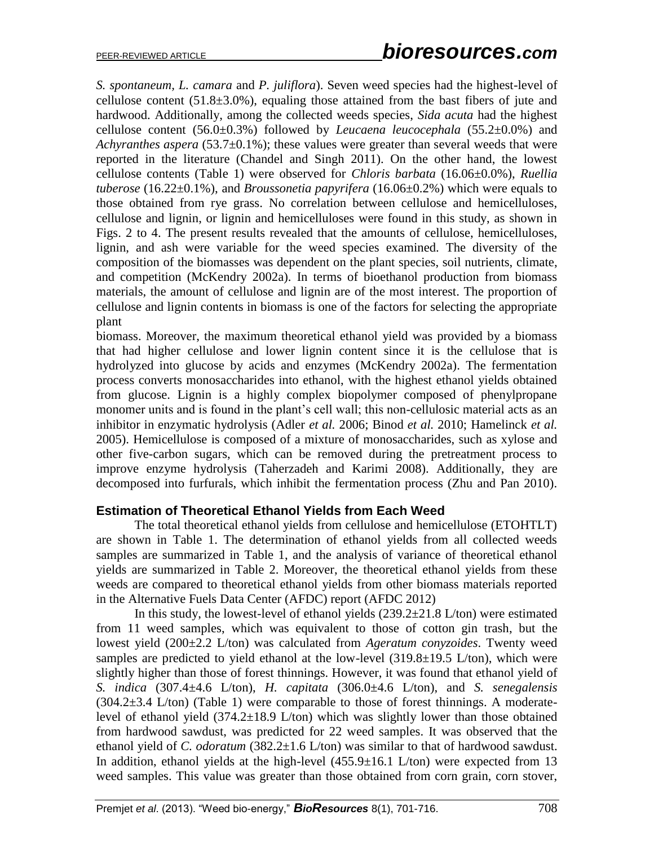*S. spontaneum, L. camara* and *P. juliflora*). Seven weed species had the highest-level of cellulose content  $(51.8\pm3.0\%)$ , equaling those attained from the bast fibers of jute and hardwood. Additionally, among the collected weeds species, *Sida acuta* had the highest cellulose content (56.0±0.3%) followed by *Leucaena leucocephala* (55.2±0.0%) and *Achyranthes aspera* (53.7±0.1%); these values were greater than several weeds that were reported in the literature (Chandel and Singh 2011). On the other hand, the lowest cellulose contents (Table 1) were observed for *Chloris barbata* (16.06±0.0%), *Ruellia tuberose* (16.22±0.1%), and *Broussonetia papyrifera* (16.06±0.2%) which were equals to those obtained from rye grass. No correlation between cellulose and hemicelluloses, cellulose and lignin, or lignin and hemicelluloses were found in this study, as shown in Figs. 2 to 4. The present results revealed that the amounts of cellulose, hemicelluloses, lignin, and ash were variable for the weed species examined. The diversity of the composition of the biomasses was dependent on the plant species, soil nutrients, climate, and competition (McKendry 2002a). In terms of bioethanol production from biomass materials, the amount of cellulose and lignin are of the most interest. The proportion of cellulose and lignin contents in biomass is one of the factors for selecting the appropriate plant

biomass. Moreover, the maximum theoretical ethanol yield was provided by a biomass that had higher cellulose and lower lignin content since it is the cellulose that is hydrolyzed into glucose by acids and enzymes (McKendry 2002a). The fermentation process converts monosaccharides into ethanol, with the highest ethanol yields obtained from glucose. Lignin is a highly complex biopolymer composed of phenylpropane monomer units and is found in the plant's cell wall; this non-cellulosic material acts as an inhibitor in enzymatic hydrolysis (Adler *et al.* 2006; Binod *et al.* 2010; Hamelinck *et al.* 2005). Hemicellulose is composed of a mixture of monosaccharides, such as xylose and other five-carbon sugars, which can be removed during the pretreatment process to improve enzyme hydrolysis (Taherzadeh and Karimi 2008). Additionally, they are decomposed into furfurals, which inhibit the fermentation process (Zhu and Pan 2010).

#### **Estimation of Theoretical Ethanol Yields from Each Weed**

The total theoretical ethanol yields from cellulose and hemicellulose (ETOHTLT) are shown in Table 1. The determination of ethanol yields from all collected weeds samples are summarized in Table 1, and the analysis of variance of theoretical ethanol yields are summarized in Table 2. Moreover, the theoretical ethanol yields from these weeds are compared to theoretical ethanol yields from other biomass materials reported in the Alternative Fuels Data Center (AFDC) report (AFDC 2012)

In this study, the lowest-level of ethanol yields  $(239.2\pm 21.8 \text{ L/ton})$  were estimated from 11 weed samples, which was equivalent to those of cotton gin trash, but the lowest yield (200±2.2 L/ton) was calculated from *Ageratum conyzoides*. Twenty weed samples are predicted to yield ethanol at the low-level  $(319.8\pm19.5 \text{ L/ton})$ , which were slightly higher than those of forest thinnings. However, it was found that ethanol yield of *S. indica* (307.4±4.6 L/ton), *H. capitata* (306.0±4.6 L/ton), and *S. senegalensis*  $(304.2\pm3.4 \text{ L/ton})$  (Table 1) were comparable to those of forest thinnings. A moderatelevel of ethanol yield (374.2±18.9 L/ton) which was slightly lower than those obtained from hardwood sawdust, was predicted for 22 weed samples. It was observed that the ethanol yield of *C. odoratum* (382.2±1.6 L/ton) was similar to that of hardwood sawdust. In addition, ethanol yields at the high-level  $(455.9 \pm 16.1 \text{ L/ton})$  were expected from 13 weed samples. This value was greater than those obtained from corn grain, corn stover,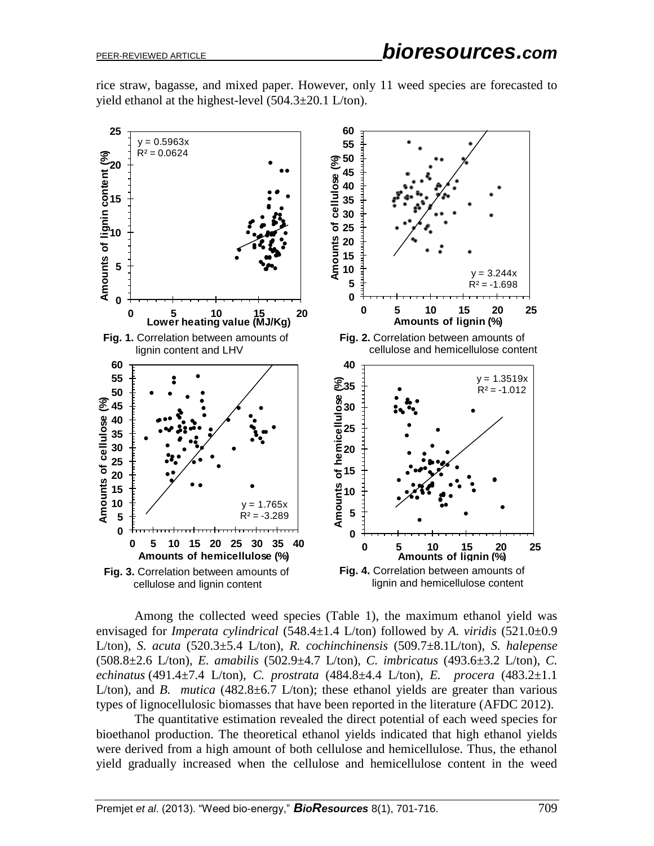rice straw, bagasse, and mixed paper. However, only 11 weed species are forecasted to yield ethanol at the highest-level (504.3±20.1 L/ton).



Among the collected weed species (Table 1), the maximum ethanol yield was envisaged for *Imperata cylindrical* (548.4±1.4 L/ton) followed by *A. viridis* (521.0±0.9 L/ton), *S. acuta* (520.3±5.4 L/ton), *R. cochinchinensis* (509.7±8.1L/ton), *S. halepense* (508.8±2.6 L/ton), *E. amabilis* (502.9±4.7 L/ton), *C. imbricatus* (493.6±3.2 L/ton), *C. echinatus* (491.4±7.4 L/ton), *C. prostrata* (484.8±4.4 L/ton), *E. procera* (483.2±1.1 L/ton), and *B. mutica* (482.8 $\pm$ 6.7 L/ton); these ethanol yields are greater than various types of lignocellulosic biomasses that have been reported in the literature (AFDC 2012).

The quantitative estimation revealed the direct potential of each weed species for bioethanol production. The theoretical ethanol yields indicated that high ethanol yields were derived from a high amount of both cellulose and hemicellulose. Thus, the ethanol yield gradually increased when the cellulose and hemicellulose content in the weed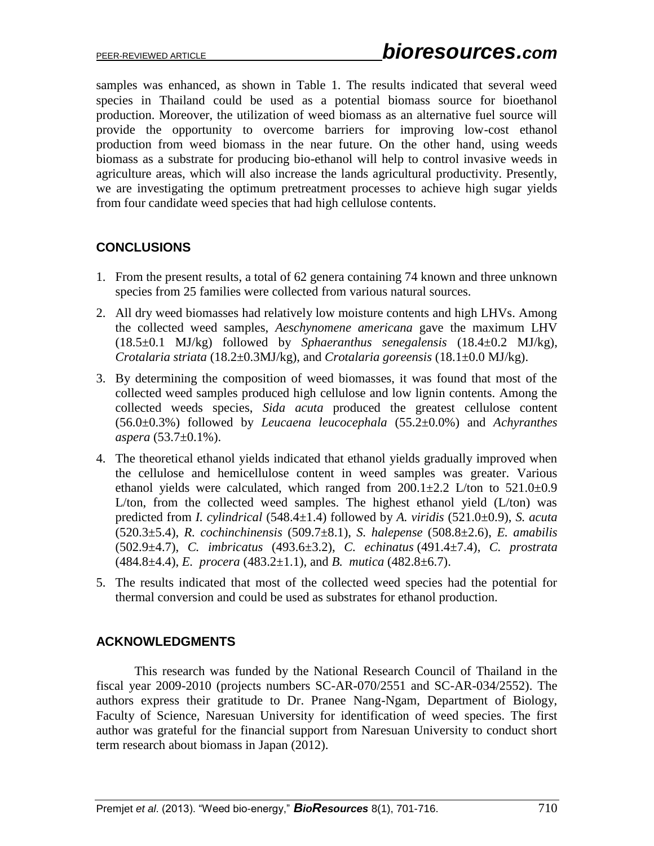samples was enhanced, as shown in Table 1. The results indicated that several weed species in Thailand could be used as a potential biomass source for bioethanol production. Moreover, the utilization of weed biomass as an alternative fuel source will provide the opportunity to overcome barriers for improving low-cost ethanol production from weed biomass in the near future. On the other hand, using weeds biomass as a substrate for producing bio-ethanol will help to control invasive weeds in agriculture areas, which will also increase the lands agricultural productivity. Presently, we are investigating the optimum pretreatment processes to achieve high sugar yields from four candidate weed species that had high cellulose contents.

## **CONCLUSIONS**

- 1. From the present results, a total of 62 genera containing 74 known and three unknown species from 25 families were collected from various natural sources.
- 2. All dry weed biomasses had relatively low moisture contents and high LHVs. Among the collected weed samples, *Aeschynomene americana* gave the maximum LHV (18.5±0.1 MJ/kg) followed by *Sphaeranthus senegalensis* (18.4±0.2 MJ/kg), *Crotalaria striata* (18.2±0.3MJ/kg), and *Crotalaria goreensis* (18.1±0.0 MJ/kg).
- 3. By determining the composition of weed biomasses, it was found that most of the collected weed samples produced high cellulose and low lignin contents. Among the collected weeds species, *Sida acuta* produced the greatest cellulose content (56.0±0.3%) followed by *Leucaena leucocephala* (55.2±0.0%) and *Achyranthes aspera* (53.7±0.1%).
- 4. The theoretical ethanol yields indicated that ethanol yields gradually improved when the cellulose and hemicellulose content in weed samples was greater. Various ethanol yields were calculated, which ranged from  $200.1 \pm 2.2$  L/ton to  $521.0 \pm 0.9$ L/ton, from the collected weed samples. The highest ethanol yield (L/ton) was predicted from *I. cylindrical* (548.4±1.4) followed by *A. viridis* (521.0±0.9), *S. acuta* (520.3±5.4), *R. cochinchinensis* (509.7±8.1), *S. halepense* (508.8±2.6), *E. amabilis* (502.9±4.7), *C. imbricatus* (493.6±3.2), *C. echinatus* (491.4±7.4), *C. prostrata* (484.8±4.4), *E. procera* (483.2±1.1), and *B. mutica* (482.8±6.7).
- 5. The results indicated that most of the collected weed species had the potential for thermal conversion and could be used as substrates for ethanol production.

#### **ACKNOWLEDGMENTS**

This research was funded by the National Research Council of Thailand in the fiscal year 2009-2010 (projects numbers SC-AR-070/2551 and SC-AR-034/2552). The authors express their gratitude to Dr. Pranee Nang-Ngam, Department of Biology, Faculty of Science, Naresuan University for identification of weed species. The first author was grateful for the financial support from Naresuan University to conduct short term research about biomass in Japan (2012).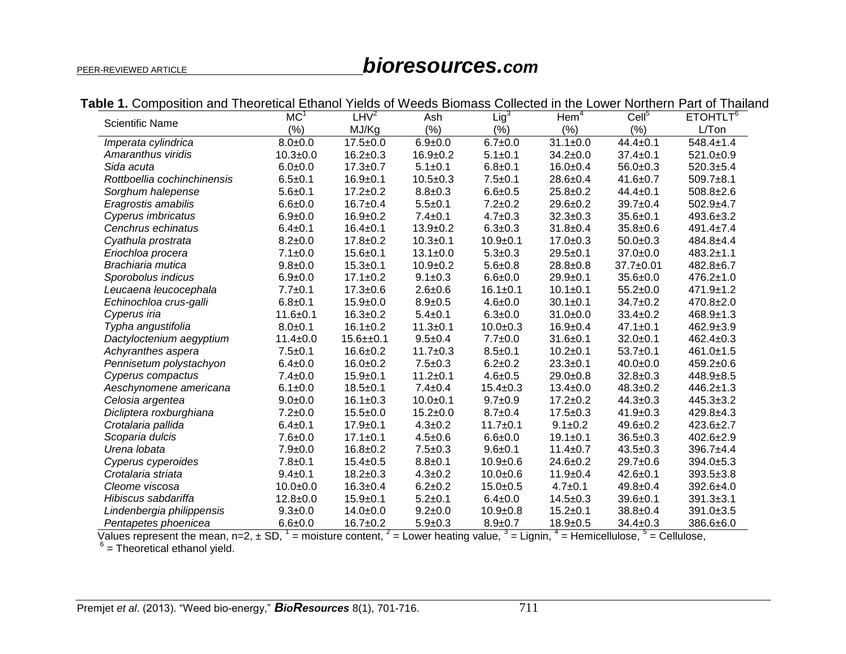# PEER-REVIEWED ARTICLE *bioresources.com*

| <b>Scientific Name</b>      | MC <sup>1</sup> | $LHV^2$        | Ash            | Lig <sup>3</sup> | $H$ em <sup>4</sup> | Cell <sup>5</sup> | ETOHTLT <sup>6</sup> |
|-----------------------------|-----------------|----------------|----------------|------------------|---------------------|-------------------|----------------------|
|                             | (%)             | MJ/Kg          | (%)            | (% )             | (%)                 | (% )              | L/Ton                |
| Imperata cylindrica         | $8.0 + 0.0$     | $17.5 \pm 0.0$ | $6.9 + 0.0$    | $6.7 + 0.0$      | $31.1 \pm 0.0$      | $44.4 \pm 0.1$    | $548.4 \pm 1.4$      |
| Amaranthus viridis          | $10.3 + 0.0$    | $16.2 \pm 0.3$ | $16.9 + 0.2$   | $5.1 \pm 0.1$    | $34.2 \pm 0.0$      | $37.4 \pm 0.1$    | 521.0±0.9            |
| Sida acuta                  | $6.0 + 0.0$     | $17.3 + 0.7$   | $5.1 \pm 0.1$  | $6.8 + 0.1$      | $16.0 + 0.4$        | $56.0 + 0.3$      | $520.3 + 5.4$        |
| Rottboellia cochinchinensis | $6.5 \pm 0.1$   | $16.9 + 0.1$   | $10.5 \pm 0.3$ | $7.5 \pm 0.1$    | $28.6 \pm 0.4$      | $41.6 \pm 0.7$    | $509.7 + 8.1$        |
| Sorghum halepense           | $5.6 + 0.1$     | $17.2 \pm 0.2$ | $8.8 + 0.3$    | $6.6 + 0.5$      | $25.8 \pm 0.2$      | $44.4 \pm 0.1$    | $508.8 \pm 2.6$      |
| Eragrostis amabilis         | $6.6 + 0.0$     | $16.7 + 0.4$   | $5.5 + 0.1$    | $7.2 + 0.2$      | $29.6 \pm 0.2$      | $39.7 + 0.4$      | $502.9 + 4.7$        |
| Cyperus imbricatus          | $6.9 + 0.0$     | $16.9 \pm 0.2$ | $7.4 \pm 0.1$  | $4.7 \pm 0.3$    | $32.3 \pm 0.3$      | $35.6 + 0.1$      | $493.6 \pm 3.2$      |
| Cenchrus echinatus          | $6.4 \pm 0.1$   | $16.4 \pm 0.1$ | $13.9 \pm 0.2$ | $6.3 + 0.3$      | $31.8 \pm 0.4$      | $35.8 + 0.6$      | $491.4 \pm 7.4$      |
| Cyathula prostrata          | $8.2 + 0.0$     | $17.8 + 0.2$   | $10.3 + 0.1$   | $10.9 + 0.1$     | $17.0 \pm 0.3$      | $50.0 + 0.3$      | $484.8 + 4.4$        |
| Eriochloa procera           | $7.1 \pm 0.0$   | $15.6 + 0.1$   | $13.1 \pm 0.0$ | $5.3 + 0.3$      | $29.5 + 0.1$        | $37.0 \pm 0.0$    | $483.2 \pm 1.1$      |
| Brachiaria mutica           | $9.8 + 0.0$     | $15.3 + 0.1$   | $10.9 + 0.2$   | $5.6 + 0.8$      | $28.8 \pm 0.8$      | 37.7±0.01         | $482.8 + 6.7$        |
| Sporobolus indicus          | $6.9 + 0.0$     | $17.1 \pm 0.2$ | $9.1 \pm 0.3$  | $6.6 + 0.0$      | $29.9 + 0.1$        | $35.6 + 0.0$      | $476.2 \pm 1.0$      |
| Leucaena leucocephala       | $7.7 + 0.1$     | $17.3 \pm 0.6$ | $2.6 + 0.6$    | $16.1 \pm 0.1$   | $10.1 \pm 0.1$      | $55.2 \pm 0.0$    | $471.9 \pm 1.2$      |
| Echinochloa crus-galli      | $6.8 + 0.1$     | $15.9 + 0.0$   | $8.9 + 0.5$    | $4.6 + 0.0$      | $30.1 \pm 0.1$      | $34.7 \pm 0.2$    | $470.8 \pm 2.0$      |
| Cyperus iria                | $11.6 + 0.1$    | $16.3 \pm 0.2$ | $5.4 \pm 0.1$  | $6.3 + 0.0$      | $31.0 + 0.0$        | $33.4 \pm 0.2$    | $468.9 \pm 1.3$      |
| Typha angustifolia          | $8.0 + 0.1$     | $16.1 \pm 0.2$ | $11.3 + 0.1$   | $10.0 + 0.3$     | $16.9 + 0.4$        | $47.1 \pm 0.1$    | $462.9 \pm 3.9$      |
| Dactyloctenium aegyptium    | $11.4 \pm 0.0$  | $15.6 + 0.1$   | $9.5 + 0.4$    | $7.7 + 0.0$      | $31.6 \pm 0.1$      | $32.0 + 0.1$      | $462.4 \pm 0.3$      |
| Achyranthes aspera          | $7.5 + 0.1$     | $16.6 + 0.2$   | $11.7 \pm 0.3$ | $8.5 \pm 0.1$    | $10.2 + 0.1$        | $53.7 + 0.1$      | $461.0 \pm 1.5$      |
| Pennisetum polystachyon     | $6.4 \pm 0.0$   | $16.0 + 0.2$   | $7.5 \pm 0.3$  | $6.2 + 0.2$      | $23.3 \pm 0.1$      | $40.0 + 0.0$      | $459.2 \pm 0.6$      |
| Cyperus compactus           | $7.4 \pm 0.0$   | $15.9 + 0.1$   | $11.2 \pm 0.1$ | $4.6 \pm 0.5$    | $29.0+0.8$          | $32.8 \pm 0.3$    | $448.9 + 8.5$        |
| Aeschynomene americana      | $6.1 \pm 0.0$   | $18.5 + 0.1$   | $7.4 \pm 0.4$  | $15.4 \pm 0.3$   | $13.4 \pm 0.0$      | $48.3 \pm 0.2$    | $446.2 \pm 1.3$      |
| Celosia argentea            | $9.0 + 0.0$     | $16.1 \pm 0.3$ | $10.0 + 0.1$   | $9.7 + 0.9$      | $17.2 \pm 0.2$      | $44.3 \pm 0.3$    | $445.3 \pm 3.2$      |
| Dicliptera roxburghiana     | $7.2 \pm 0.0$   | $15.5 \pm 0.0$ | $15.2 \pm 0.0$ | $8.7 \pm 0.4$    | $17.5 \pm 0.3$      | $41.9 \pm 0.3$    | $429.8 + 4.3$        |
| Crotalaria pallida          | $6.4 \pm 0.1$   | $17.9 + 0.1$   | $4.3 \pm 0.2$  | $11.7 + 0.1$     | $9.1 \pm 0.2$       | $49.6 \pm 0.2$    | $423.6 \pm 2.7$      |
| Scoparia dulcis             | $7.6 + 0.0$     | $17.1 \pm 0.1$ | $4.5 \pm 0.6$  | $6.6 + 0.0$      | $19.1 \pm 0.1$      | $36.5 \pm 0.3$    | $402.6 \pm 2.9$      |
| Urena lobata                | $7.9 \pm 0.0$   | $16.8 + 0.2$   | $7.5 \pm 0.3$  | $9.6 + 0.1$      | $11.4 \pm 0.7$      | $43.5 \pm 0.3$    | $396.7 + 4.4$        |
| Cyperus cyperoides          | $7.8 + 0.1$     | $15.4 \pm 0.5$ | $8.8 + 0.1$    | $10.9 + 0.6$     | $24.6 \pm 0.2$      | $29.7 + 0.6$      | 394.0±5.3            |
| Crotalaria striata          | $9.4 \pm 0.1$   | $18.2 \pm 0.3$ | $4.3 \pm 0.2$  | $10.0 + 0.6$     | $11.9 \pm 0.4$      | $42.6 \pm 0.1$    | $393.5 \pm 3.8$      |
| Cleome viscosa              | $10.0 + 0.0$    | $16.3 \pm 0.4$ | $6.2 + 0.2$    | $15.0 + 0.5$     | $4.7 \pm 0.1$       | $49.8 \pm 0.4$    | $392.6 + 4.0$        |
| Hibiscus sabdariffa         | $12.8 + 0.0$    | $15.9 + 0.1$   | $5.2 + 0.1$    | $6.4 \pm 0.0$    | $14.5 \pm 0.3$      | $39.6 + 0.1$      | $391.3 \pm 3.1$      |
| Lindenbergia philippensis   | $9.3 \pm 0.0$   | $14.0 + 0.0$   | $9.2 + 0.0$    | $10.9 + 0.8$     | $15.2 \pm 0.1$      | $38.8 \pm 0.4$    | 391.0±3.5            |
| Pentapetes phoenicea        | $6.6 + 0.0$     | $16.7 \pm 0.2$ | $5.9 + 0.3$    | $8.9 + 0.7$      | $18.9 + 0.5$        | $34.4 \pm 0.3$    | 386.6±6.0            |

**Table 1.** Composition and Theoretical Ethanol Yields of Weeds Biomass Collected in the Lower Northern Part of Thailand

Values represent the mean, n=2,  $\pm$  SD,  $^1$  = moisture content,  $^2$  = Lower heating value,  $^3$  = Lignin,  $^4$  = Hemicellulose,  $^5$  = Cellulose,  $^6$  = Theoretical ethanol yield.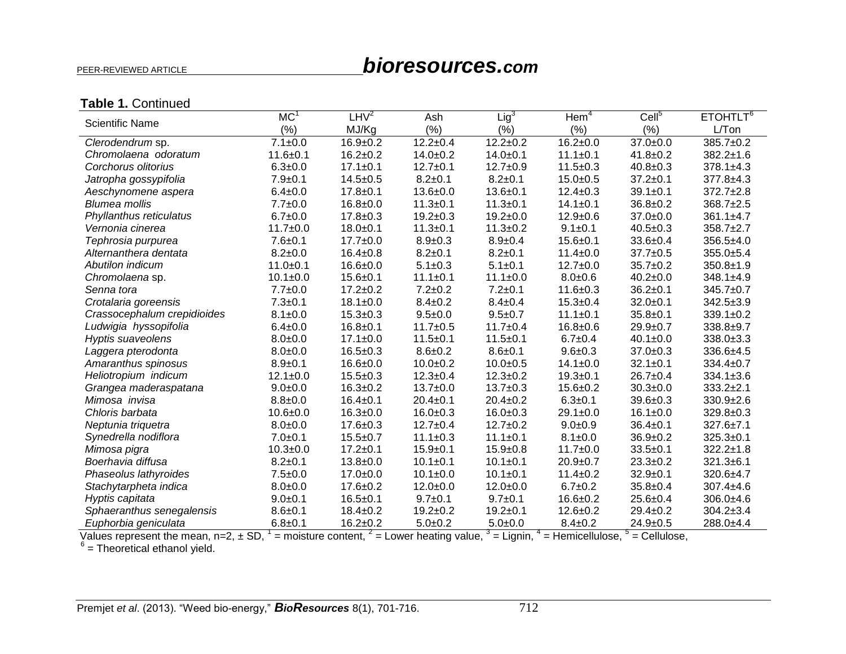# PEER-REVIEWED ARTICLE *bioresources.com*

# **Table 1.** Continued

| <b>Scientific Name</b>      | MC             | $L$ H $V^2$    | Ash                    | $Lig^3$        | Hem <sup>4</sup> | Cell <sup>5</sup> | ETOHTLT <sup>6</sup> |
|-----------------------------|----------------|----------------|------------------------|----------------|------------------|-------------------|----------------------|
|                             | (%)            | MJ/Kg          | $(\% )$                | $(\% )$        | (%)              | (% )              | L/Ton                |
| Clerodendrum sp.            | $7.1 \pm 0.0$  | $16.9 + 0.2$   | $\overline{12.2}$ ±0.4 | $12.2 \pm 0.2$ | $16.2 \pm 0.0$   | $37.0 + 0.0$      | $385.7 \pm 0.2$      |
| Chromolaena odoratum        | $11.6 + 0.1$   | $16.2 \pm 0.2$ | $14.0 + 0.2$           | $14.0 + 0.1$   | $11.1 \pm 0.1$   | $41.8 \pm 0.2$    | $382.2 \pm 1.6$      |
| Corchorus olitorius         | $6.3 + 0.0$    | $17.1 \pm 0.1$ | $12.7 + 0.1$           | $12.7 \pm 0.9$ | $11.5 \pm 0.3$   | $40.8 \pm 0.3$    | $378.1 \pm 4.3$      |
| Jatropha gossypifolia       | $7.9 \pm 0.1$  | $14.5 \pm 0.5$ | $8.2 \pm 0.1$          | $8.2 + 0.1$    | $15.0 + 0.5$     | $37.2 \pm 0.1$    | $377.8 + 4.3$        |
| Aeschynomene aspera         | $6.4 \pm 0.0$  | $17.8 + 0.1$   | $13.6 + 0.0$           | $13.6 + 0.1$   | $12.4 \pm 0.3$   | $39.1 + 0.1$      | $372.7 \pm 2.8$      |
| <b>Blumea mollis</b>        | $7.7 + 0.0$    | $16.8 + 0.0$   | $11.3 + 0.1$           | $11.3 + 0.1$   | $14.1 \pm 0.1$   | $36.8 + 0.2$      | $368.7 \pm 2.5$      |
| Phyllanthus reticulatus     | $6.7 + 0.0$    | $17.8 \pm 0.3$ | $19.2 + 0.3$           | $19.2 \pm 0.0$ | $12.9 + 0.6$     | $37.0 \pm 0.0$    | $361.1 \pm 4.7$      |
| Vernonia cinerea            | $11.7 \pm 0.0$ | $18.0 + 0.1$   | $11.3 + 0.1$           | $11.3 \pm 0.2$ | $9.1 \pm 0.1$    | $40.5 \pm 0.3$    | $358.7 + 2.7$        |
| Tephrosia purpurea          | $7.6 + 0.1$    | $17.7 \pm 0.0$ | $8.9 + 0.3$            | $8.9 + 0.4$    | $15.6 + 0.1$     | $33.6 \pm 0.4$    | $356.5+4.0$          |
| Alternanthera dentata       | $8.2 \pm 0.0$  | $16.4 \pm 0.8$ | $8.2 \pm 0.1$          | $8.2 + 0.1$    | $11.4 \pm 0.0$   | $37.7 \pm 0.5$    | $355.0 + 5.4$        |
| Abutilon indicum            | $11.0 + 0.1$   | $16.6 + 0.0$   | $5.1 \pm 0.3$          | $5.1 \pm 0.1$  | $12.7 + 0.0$     | $35.7 \pm 0.2$    | $350.8 \pm 1.9$      |
| Chromolaena sp.             | $10.1 \pm 0.0$ | $15.6 + 0.1$   | $11.1 \pm 0.1$         | $11.1 \pm 0.0$ | $8.0 + 0.6$      | $40.2 \pm 0.0$    | $348.1 \pm 4.9$      |
| Senna tora                  | $7.7 + 0.0$    | $17.2 \pm 0.2$ | $7.2 + 0.2$            | $7.2 + 0.1$    | $11.6 + 0.3$     | $36.2 \pm 0.1$    | $345.7 \pm 0.7$      |
| Crotalaria goreensis        | $7.3 + 0.1$    | $18.1 \pm 0.0$ | $8.4 \pm 0.2$          | $8.4 \pm 0.4$  | $15.3 + 0.4$     | $32.0 + 0.1$      | $342.5 \pm 3.9$      |
| Crassocephalum crepidioides | $8.1 \pm 0.0$  | $15.3 \pm 0.3$ | $9.5 + 0.0$            | $9.5 + 0.7$    | $11.1 \pm 0.1$   | $35.8 + 0.1$      | $339.1 \pm 0.2$      |
| Ludwigia hyssopifolia       | $6.4 \pm 0.0$  | $16.8 + 0.1$   | $11.7 + 0.5$           | $11.7 \pm 0.4$ | $16.8 + 0.6$     | $29.9 + 0.7$      | $338.8 + 9.7$        |
| Hyptis suaveolens           | $8.0 + 0.0$    | $17.1 \pm 0.0$ | $11.5 + 0.1$           | $11.5 + 0.1$   | $6.7 + 0.4$      | $40.1 \pm 0.0$    | $338.0 + 3.3$        |
| Laggera pterodonta          | $8.0 + 0.0$    | $16.5 \pm 0.3$ | $8.6 + 0.2$            | $8.6 + 0.1$    | $9.6 + 0.3$      | $37.0 \pm 0.3$    | $336.6 + 4.5$        |
| Amaranthus spinosus         | $8.9 + 0.1$    | $16.6 + 0.0$   | $10.0 + 0.2$           | $10.0 + 0.5$   | $14.1 \pm 0.0$   | $32.1 \pm 0.1$    | $334.4 \pm 0.7$      |
| Heliotropium indicum        | $12.1 \pm 0.0$ | $15.5 \pm 0.3$ | $12.3 + 0.4$           | $12.3 + 0.2$   | $19.3 + 0.1$     | $26.7 \pm 0.4$    | $334.1 \pm 3.6$      |
| Grangea maderaspatana       | $9.0 + 0.0$    | $16.3 + 0.2$   | $13.7 \pm 0.0$         | $13.7 \pm 0.3$ | $15.6 + 0.2$     | $30.3 + 0.0$      | $333.2 + 2.1$        |
| Mimosa invisa               | $8.8 + 0.0$    | $16.4 \pm 0.1$ | $20.4 \pm 0.1$         | $20.4 \pm 0.2$ | $6.3 + 0.1$      | $39.6 + 0.3$      | $330.9 + 2.6$        |
| Chloris barbata             | $10.6 + 0.0$   | $16.3 + 0.0$   | $16.0 + 0.3$           | $16.0 + 0.3$   | $29.1 \pm 0.0$   | $16.1 \pm 0.0$    | $329.8 \pm 0.3$      |
| Neptunia triquetra          | $8.0 + 0.0$    | $17.6 \pm 0.3$ | $12.7 \pm 0.4$         | $12.7 \pm 0.2$ | $9.0 + 0.9$      | $36.4 \pm 0.1$    | $327.6 \pm 7.1$      |
| Synedrella nodiflora        | $7.0 + 0.1$    | $15.5 + 0.7$   | $11.1 \pm 0.3$         | $11.1 \pm 0.1$ | $8.1 \pm 0.0$    | $36.9 \pm 0.2$    | $325.3 \pm 0.1$      |
| Mimosa pigra                | $10.3 + 0.0$   | $17.2 \pm 0.1$ | $15.9 + 0.1$           | $15.9 \pm 0.8$ | $11.7 \pm 0.0$   | $33.5 + 0.1$      | $322.2 \pm 1.8$      |
| Boerhavia diffusa           | $8.2 \pm 0.1$  | $13.8 + 0.0$   | $10.1 \pm 0.1$         | $10.1 \pm 0.1$ | $20.9 + 0.7$     | $23.3 \pm 0.2$    | $321.3 \pm 6.1$      |
| Phaseolus lathyroides       | $7.5 + 0.0$    | $17.0 \pm 0.0$ | $10.1 \pm 0.0$         | $10.1 \pm 0.1$ | $11.4 \pm 0.2$   | $32.9 + 0.1$      | $320.6 + 4.7$        |
| Stachytarpheta indica       | $8.0 + 0.0$    | $17.6 \pm 0.2$ | $12.0 + 0.0$           | $12.0 + 0.0$   | $6.7 \pm 0.2$    | $35.8 \pm 0.4$    | $307.4 \pm 4.6$      |
| Hyptis capitata             | $9.0 + 0.1$    | $16.5 + 0.1$   | $9.7 + 0.1$            | $9.7 + 0.1$    | $16.6 + 0.2$     | $25.6 \pm 0.4$    | $306.0 + 4.6$        |
| Sphaeranthus senegalensis   | $8.6 + 0.1$    | $18.4 \pm 0.2$ | $19.2 + 0.2$           | $19.2 + 0.1$   | $12.6 + 0.2$     | $29.4 \pm 0.2$    | $304.2 \pm 3.4$      |
| Euphorbia geniculata        | $6.8 + 0.1$    | $16.2 \pm 0.2$ | $5.0 + 0.2$            | $5.0 + 0.0$    | $8.4 \pm 0.2$    | $24.9 \pm 0.5$    | $288.0 + 4.4$        |

Values represent the mean, n=2,  $\pm$  SD,  $\frac{1}{n}$  = moisture content,  $\frac{2}{n}$  = Lower heating value,  $\frac{3}{n}$  = Lignin,  $\frac{4}{n}$  = Hemicellulose,  $\frac{5}{n}$  = Cellulose,  $\frac{5}{n}$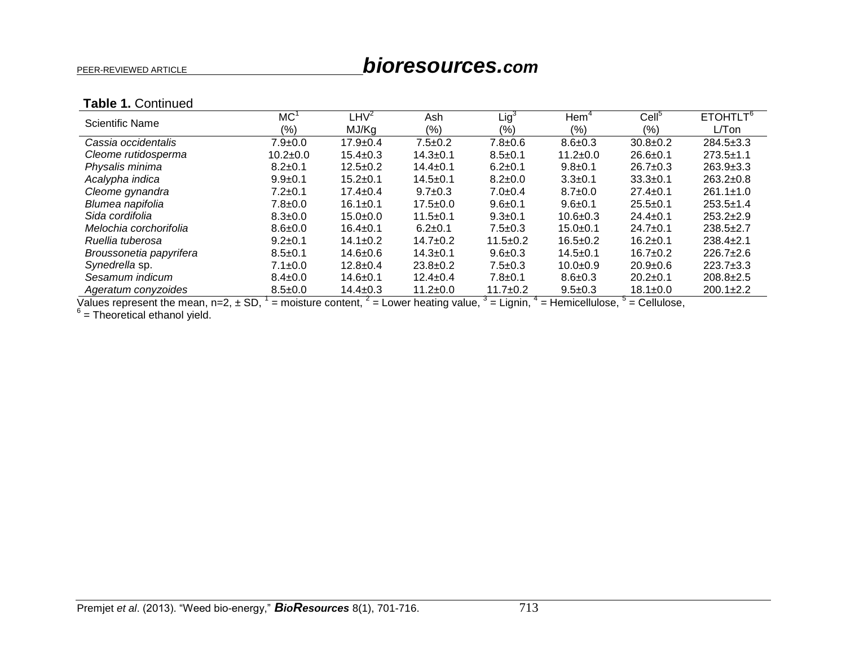# PEER-REVIEWED ARTICLE *bioresources.com*

### **Table 1.** Continued

| Scientific Name         | MC <sup>1</sup> | $L$ HV $^2$    | Ash            | Lig <sup>3</sup> | Hem <sup>2</sup> | Cell <sup>5</sup> | ETOHTLT <sup>6</sup> |
|-------------------------|-----------------|----------------|----------------|------------------|------------------|-------------------|----------------------|
|                         | $(\% )$         | MJ/Kg          | (9/0)          | $(\% )$          | (% )             | (%)               | $L/T$ on             |
| Cassia occidentalis     | $7.9 \pm 0.0$   | $17.9 \pm 0.4$ | $7.5 \pm 0.2$  | $7.8 + 0.6$      | $8.6 \pm 0.3$    | $30.8 \pm 0.2$    | $284.5 \pm 3.3$      |
| Cleome rutidosperma     | $10.2 \pm 0.0$  | $15.4 \pm 0.3$ | $14.3 + 0.1$   | $8.5 \pm 0.1$    | $11.2 \pm 0.0$   | $26.6 \pm 0.1$    | $273.5 \pm 1.1$      |
| Physalis minima         | $8.2 \pm 0.1$   | $12.5 \pm 0.2$ | $14.4 \pm 0.1$ | $6.2 \pm 0.1$    | $9.8 \pm 0.1$    | $26.7 \pm 0.3$    | $263.9 \pm 3.3$      |
| Acalypha indica         | $9.9 \pm 0.1$   | $15.2 \pm 0.1$ | $14.5 + 0.1$   | $8.2 \pm 0.0$    | $3.3 \pm 0.1$    | $33.3+0.1$        | $263.2 \pm 0.8$      |
| Cleome gynandra         | $7.2 \pm 0.1$   | $17.4 \pm 0.4$ | $9.7 \pm 0.3$  | $7.0 \pm 0.4$    | $8.7 \pm 0.0$    | $27.4 \pm 0.1$    | $261.1 \pm 1.0$      |
| Blumea napifolia        | $7.8 \pm 0.0$   | $16.1 \pm 0.1$ | $17.5 \pm 0.0$ | $9.6 \pm 0.1$    | $9.6 + 0.1$      | $25.5+0.1$        | $253.5 \pm 1.4$      |
| Sida cordifolia         | $8.3 \pm 0.0$   | $15.0 + 0.0$   | $11.5 \pm 0.1$ | $9.3 \pm 0.1$    | $10.6 + 0.3$     | $24.4 \pm 0.1$    | $253.2 \pm 2.9$      |
| Melochia corchorifolia  | $8.6 \pm 0.0$   | $16.4 \pm 0.1$ | $6.2 \pm 0.1$  | $7.5 \pm 0.3$    | $15.0 + 0.1$     | $24.7 \pm 0.1$    | $238.5 \pm 2.7$      |
| Ruellia tuberosa        | $9.2 \pm 0.1$   | $14.1 \pm 0.2$ | $14.7 \pm 0.2$ | $11.5 \pm 0.2$   | $16.5 \pm 0.2$   | $16.2 \pm 0.1$    | $238.4 \pm 2.1$      |
| Broussonetia papyrifera | $8.5 \pm 0.1$   | $14.6 \pm 0.6$ | $14.3 \pm 0.1$ | $9.6 \pm 0.3$    | $14.5 \pm 0.1$   | $16.7 \pm 0.2$    | $226.7+2.6$          |
| Synedrella sp.          | $7.1 \pm 0.0$   | $12.8 \pm 0.4$ | $23.8 \pm 0.2$ | $7.5 \pm 0.3$    | $10.0 + 0.9$     | $20.9 \pm 0.6$    | $223.7+3.3$          |
| Sesamum indicum         | $8.4 \pm 0.0$   | $14.6 \pm 0.1$ | $12.4 \pm 0.4$ | $7.8 + 0.1$      | $8.6 \pm 0.3$    | $20.2 \pm 0.1$    | $208.8 \pm 2.5$      |
| Ageratum conyzoides     | $8.5 \pm 0.0$   | $14.4 \pm 0.3$ | $11.2 \pm 0.0$ | $11.7 + 0.2$     | $9.5 \pm 0.3$    | $18.1 \pm 0.0$    | $200.1 \pm 2.2$      |

Values represent the mean, n=2, ± SD,  $1$  = moisture content,  $2$  = Lower heating value,  $3$  = Lignin,  $4$  = Hemicellulose,  $5$  = Cellulose,  $6$  = Theoretical ethanol yield.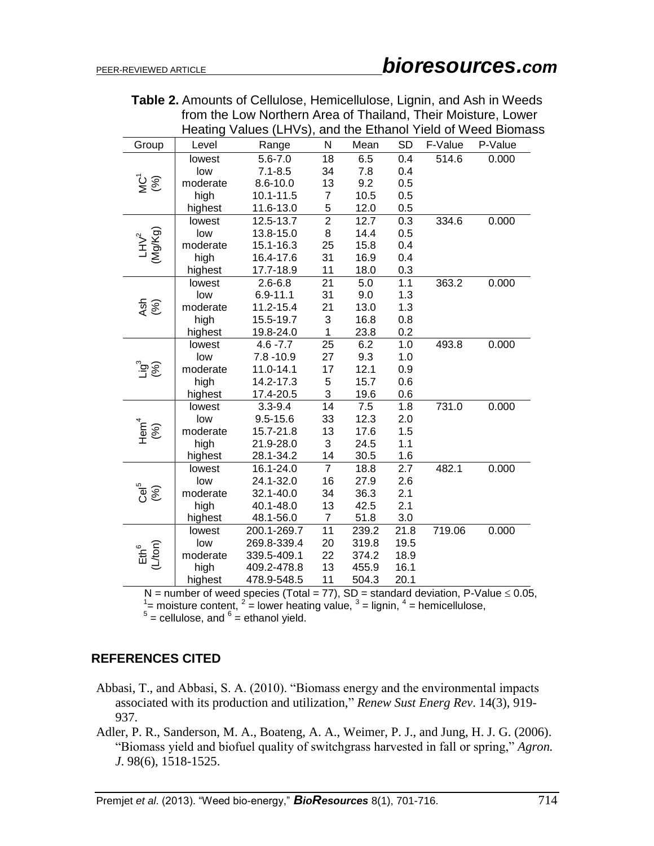|                      |          | Heating Values (LHVs), and the Ethanol Yield of Weed Biomass |                           |                  |                  |         |         |
|----------------------|----------|--------------------------------------------------------------|---------------------------|------------------|------------------|---------|---------|
| Group                | Level    | Range                                                        | $\mathsf{N}$              | Mean             | <b>SD</b>        | F-Value | P-Value |
|                      | lowest   | $5.6 - 7.0$                                                  | 18                        | 6.5              | 0.4              | 514.6   | 0.000   |
|                      | low      | $7.1 - 8.5$                                                  | 34                        | 7.8              | 0.4              |         |         |
| $\sum_{i=1}^{n}$     | moderate | $8.6 - 10.0$                                                 | 13                        | 9.2              | 0.5              |         |         |
|                      | high     | 10.1-11.5                                                    | $\boldsymbol{7}$          | 10.5             | 0.5              |         |         |
|                      | highest  | 11.6-13.0                                                    | $\frac{5}{2}$             | 12.0             | 0.5              |         |         |
|                      | lowest   | 12.5-13.7                                                    |                           | 12.7             | 0.3              | 334.6   | 0.000   |
|                      | low      | 13.8-15.0                                                    | 8                         | 14.4             | 0.5              |         |         |
| $LHV^2$<br>(Mg/Kg)   | moderate | 15.1-16.3                                                    | 25                        | 15.8             | 0.4              |         |         |
|                      | high     | 16.4-17.6                                                    | 31                        | 16.9             | 0.4              |         |         |
|                      | highest  | 17.7-18.9                                                    | 11                        | 18.0             | 0.3              |         |         |
|                      | lowest   | $2.6 - 6.8$                                                  | $\overline{21}$           | 5.0              | 1.1              | 363.2   | 0.000   |
|                      | low      | $6.9 - 11.1$                                                 | 31                        | 9.0              | 1.3              |         |         |
| $\frac{6}{3}$        | moderate | 11.2-15.4                                                    | 21                        | 13.0             | 1.3              |         |         |
|                      | high     | 15.5-19.7                                                    | $\ensuremath{\mathsf{3}}$ | 16.8             | 0.8              |         |         |
|                      | highest  | 19.8-24.0                                                    | $\mathbf{1}$              | 23.8             | 0.2              |         |         |
|                      | lowest   | $4.6 - 7.7$                                                  | $\overline{25}$           | $\overline{6.2}$ | 1.0              | 493.8   | 0.000   |
|                      | low      | $7.8 - 10.9$                                                 | 27                        | 9.3              | 1.0              |         |         |
| <u>ွိခ်ွ</u>         | moderate | 11.0-14.1                                                    | 17                        | 12.1             | 0.9              |         |         |
|                      | high     | 14.2-17.3                                                    | 5                         | 15.7             | 0.6              |         |         |
|                      | highest  | 17.4-20.5                                                    | $\ensuremath{\mathsf{3}}$ | 19.6             | 0.6              |         |         |
|                      | lowest   | $3.3 - 9.4$                                                  | $\overline{14}$           | 7.5              | $\overline{1.8}$ | 731.0   | 0.000   |
|                      | low      | $9.5 - 15.6$                                                 | 33                        | 12.3             | 2.0              |         |         |
| $Hem^4$ <sup>4</sup> | moderate | 15.7-21.8                                                    | 13                        | 17.6             | 1.5              |         |         |
|                      | high     | 21.9-28.0                                                    | 3                         | 24.5             | 1.1              |         |         |
|                      | highest  | 28.1-34.2                                                    | 14                        | 30.5             | 1.6              |         |         |
|                      | lowest   | 16.1-24.0                                                    | $\overline{7}$            | 18.8             | 2.7              | 482.1   | 0.000   |
|                      | low      | 24.1-32.0                                                    | 16                        | 27.9             | 2.6              |         |         |
| င်မ <sup>5</sup>     | moderate | 32.1-40.0                                                    | 34                        | 36.3             | 2.1              |         |         |
|                      | high     | 40.1-48.0                                                    | 13                        | 42.5             | 2.1              |         |         |
|                      | highest  | 48.1-56.0                                                    | $\overline{7}$            | 51.8             | 3.0              |         |         |
|                      | lowest   | 200.1-269.7                                                  | $\overline{11}$           | 239.2            | 21.8             | 719.06  | 0.000   |
|                      | low      | 269.8-339.4                                                  | 20                        | 319.8            | 19.5             |         |         |
| $Eth6$<br>(L/ton)    | moderate | 339.5-409.1                                                  | 22                        | 374.2            | 18.9             |         |         |
|                      | high     | 409.2-478.8                                                  | 13                        | 455.9            | 16.1             |         |         |
|                      | highest  | 478.9-548.5                                                  | 11                        | 504.3            | 20.1             |         |         |

 **Table 2.** Amounts of Cellulose, Hemicellulose, Lignin, and Ash in Weeds from the Low Northern Area of Thailand, Their Moisture, Lower

N = number of weed species (Total = 77), SD = standard deviation, P-Value  $\leq$  0.05,  $1/2$  = moisture content,  $2/2$  = lower heating value,  $3/2$  = lignin,  $4/2$  = hemicellulose,  $5/2$  = cellulose, and  $6/2$  = ethanol yi

# **REFERENCES CITED**

- Abbasi, T., and Abbasi, S. A. (2010). "Biomass energy and the environmental impacts associated with its production and utilization," *Renew Sust Energ Rev*. 14(3), 919- 937.
- Adler, P. R., Sanderson, M. A., Boateng, A. A., Weimer, P. J., and Jung, H. J. G. (2006). "Biomass yield and biofuel quality of switchgrass harvested in fall or spring," *Agron. J*. 98(6), 1518-1525.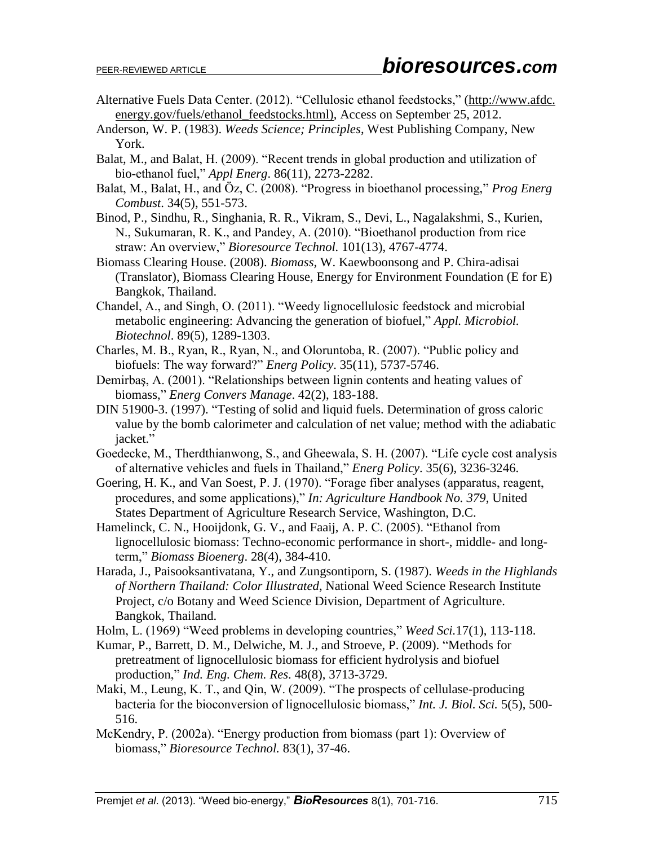- Alternative Fuels Data Center. (2012). "Cellulosic ethanol feedstocks," (http://www.afdc. energy.gov/fuels/ethanol\_feedstocks.html), Access on September 25, 2012.
- Anderson, W. P. (1983). *Weeds Science; Principles*, West Publishing Company, New York.
- Balat, M., and Balat, H. (2009). "Recent trends in global production and utilization of bio-ethanol fuel," *Appl Energ*. 86(11), 2273-2282.
- Balat, M., Balat, H., and Öz, C. (2008). "Progress in bioethanol processing," *Prog Energ Combust*. 34(5), 551-573.
- Binod, P., Sindhu, R., Singhania, R. R., Vikram, S., Devi, L., Nagalakshmi, S., Kurien, N., Sukumaran, R. K., and Pandey, A. (2010). "Bioethanol production from rice straw: An overview," *Bioresource Technol.* 101(13), 4767-4774.
- Biomass Clearing House. (2008). *Biomass,* W. Kaewboonsong and P. Chira-adisai (Translator), Biomass Clearing House, Energy for Environment Foundation (E for E) Bangkok, Thailand.
- Chandel, A., and Singh, O. (2011). "Weedy lignocellulosic feedstock and microbial metabolic engineering: Advancing the generation of biofuel," *Appl. Microbiol. Biotechnol*. 89(5), 1289-1303.
- Charles, M. B., Ryan, R., Ryan, N., and Oloruntoba, R. (2007). "Public policy and biofuels: The way forward?" *Energ Policy*. 35(11), 5737-5746.
- Demirbaş, A. (2001). "Relationships between lignin contents and heating values of biomass," *Energ Convers Manage*. 42(2), 183-188.
- DIN 51900-3. (1997). "Testing of solid and liquid fuels. Determination of gross caloric value by the bomb calorimeter and calculation of net value; method with the adiabatic jacket."
- Goedecke, M., Therdthianwong, S., and Gheewala, S. H. (2007). "Life cycle cost analysis of alternative vehicles and fuels in Thailand," *Energ Policy*. 35(6), 3236-3246.
- Goering, H. K., and Van Soest, P. J. (1970). "Forage fiber analyses (apparatus, reagent, procedures, and some applications)," *In: Agriculture Handbook No. 379*, United States Department of Agriculture Research Service, Washington, D.C.
- Hamelinck, C. N., Hooijdonk, G. V., and Faaij, A. P. C. (2005). "Ethanol from lignocellulosic biomass: Techno-economic performance in short-, middle- and longterm," *Biomass Bioenerg*. 28(4), 384-410.
- Harada, J., Paisooksantivatana, Y., and Zungsontiporn, S. (1987). *Weeds in the Highlands of Northern Thailand: Color Illustrated*, National Weed Science Research Institute Project, c/o Botany and Weed Science Division, Department of Agriculture. Bangkok, Thailand.
- Holm, L. (1969) "Weed problems in developing countries," *Weed Sci.*17(1), 113-118.
- Kumar, P., Barrett, D. M., Delwiche, M. J., and Stroeve, P. (2009). "Methods for pretreatment of lignocellulosic biomass for efficient hydrolysis and biofuel production," *Ind. Eng. Chem. Res*. 48(8), 3713-3729.
- Maki, M., Leung, K. T., and Qin, W. (2009). "The prospects of cellulase-producing bacteria for the bioconversion of lignocellulosic biomass," *Int. J. Biol. Sci.* 5(5), 500- 516.
- McKendry, P. (2002a). "Energy production from biomass (part 1): Overview of biomass," *Bioresource Technol.* 83(1), 37-46.